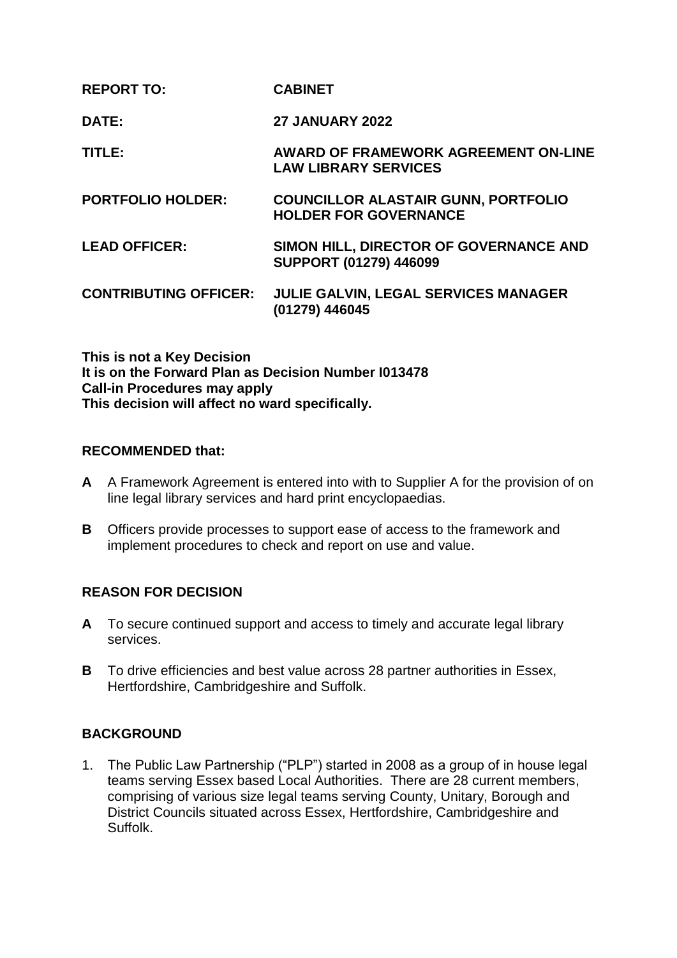| <b>REPORT TO:</b>            | <b>CABINET</b>                                                             |
|------------------------------|----------------------------------------------------------------------------|
| DATE:                        | <b>27 JANUARY 2022</b>                                                     |
| TITLE:                       | AWARD OF FRAMEWORK AGREEMENT ON-LINE<br><b>LAW LIBRARY SERVICES</b>        |
| <b>PORTFOLIO HOLDER:</b>     | <b>COUNCILLOR ALASTAIR GUNN, PORTFOLIO</b><br><b>HOLDER FOR GOVERNANCE</b> |
| <b>LEAD OFFICER:</b>         | SIMON HILL, DIRECTOR OF GOVERNANCE AND<br><b>SUPPORT (01279) 446099</b>    |
| <b>CONTRIBUTING OFFICER:</b> | JULIE GALVIN, LEGAL SERVICES MANAGER<br>(01279) 446045                     |

**This is not a Key Decision It is on the Forward Plan as Decision Number I013478 Call-in Procedures may apply This decision will affect no ward specifically.**

### **RECOMMENDED that:**

- **A** A Framework Agreement is entered into with to Supplier A for the provision of on line legal library services and hard print encyclopaedias.
- **B** Officers provide processes to support ease of access to the framework and implement procedures to check and report on use and value.

# **REASON FOR DECISION**

- **A** To secure continued support and access to timely and accurate legal library services.
- **B** To drive efficiencies and best value across 28 partner authorities in Essex, Hertfordshire, Cambridgeshire and Suffolk.

### **BACKGROUND**

1. The Public Law Partnership ("PLP") started in 2008 as a group of in house legal teams serving Essex based Local Authorities. There are 28 current members, comprising of various size legal teams serving County, Unitary, Borough and District Councils situated across Essex, Hertfordshire, Cambridgeshire and Suffolk.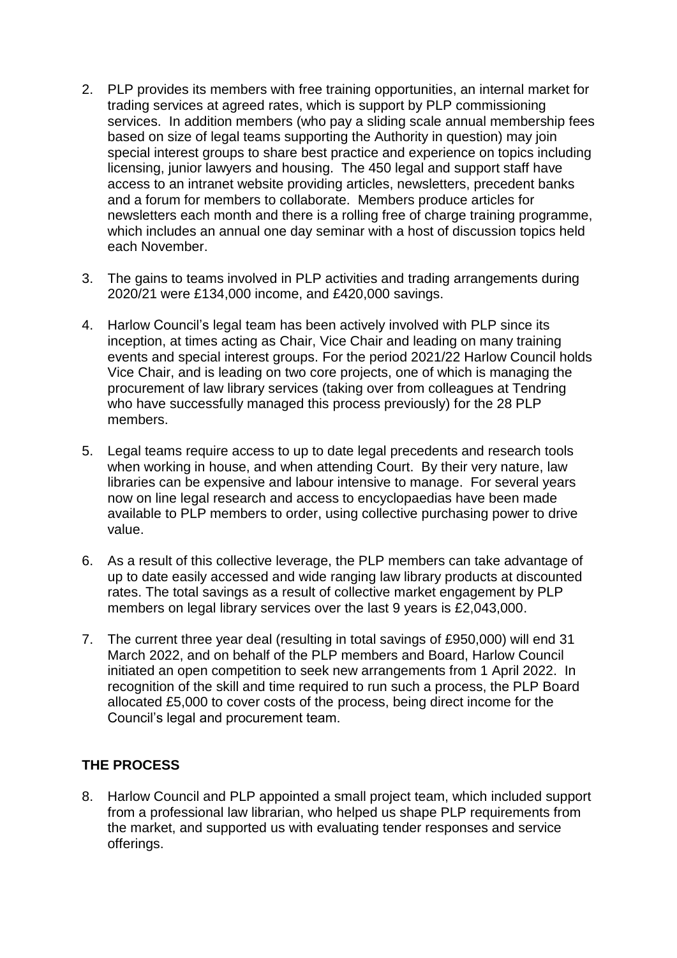- 2. PLP provides its members with free training opportunities, an internal market for trading services at agreed rates, which is support by PLP commissioning services. In addition members (who pay a sliding scale annual membership fees based on size of legal teams supporting the Authority in question) may join special interest groups to share best practice and experience on topics including licensing, junior lawyers and housing. The 450 legal and support staff have access to an intranet website providing articles, newsletters, precedent banks and a forum for members to collaborate. Members produce articles for newsletters each month and there is a rolling free of charge training programme, which includes an annual one day seminar with a host of discussion topics held each November.
- 3. The gains to teams involved in PLP activities and trading arrangements during 2020/21 were £134,000 income, and £420,000 savings.
- 4. Harlow Council's legal team has been actively involved with PLP since its inception, at times acting as Chair, Vice Chair and leading on many training events and special interest groups. For the period 2021/22 Harlow Council holds Vice Chair, and is leading on two core projects, one of which is managing the procurement of law library services (taking over from colleagues at Tendring who have successfully managed this process previously) for the 28 PLP members.
- 5. Legal teams require access to up to date legal precedents and research tools when working in house, and when attending Court. By their very nature, law libraries can be expensive and labour intensive to manage. For several years now on line legal research and access to encyclopaedias have been made available to PLP members to order, using collective purchasing power to drive value.
- 6. As a result of this collective leverage, the PLP members can take advantage of up to date easily accessed and wide ranging law library products at discounted rates. The total savings as a result of collective market engagement by PLP members on legal library services over the last 9 years is £2,043,000.
- 7. The current three year deal (resulting in total savings of £950,000) will end 31 March 2022, and on behalf of the PLP members and Board, Harlow Council initiated an open competition to seek new arrangements from 1 April 2022. In recognition of the skill and time required to run such a process, the PLP Board allocated £5,000 to cover costs of the process, being direct income for the Council's legal and procurement team.

# **THE PROCESS**

8. Harlow Council and PLP appointed a small project team, which included support from a professional law librarian, who helped us shape PLP requirements from the market, and supported us with evaluating tender responses and service offerings.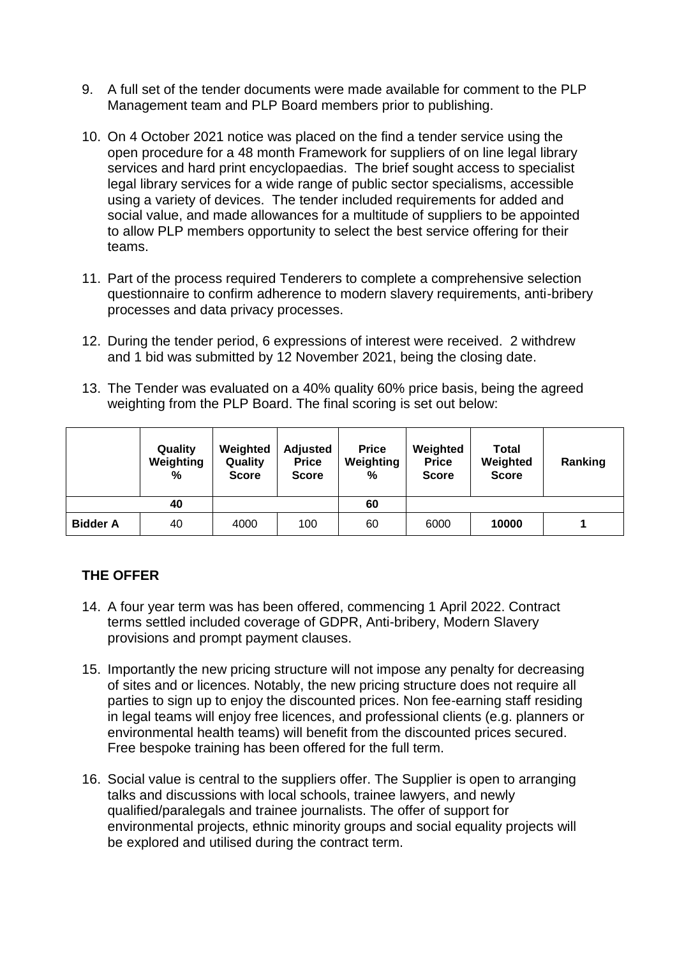- 9. A full set of the tender documents were made available for comment to the PLP Management team and PLP Board members prior to publishing.
- 10. On 4 October 2021 notice was placed on the find a tender service using the open procedure for a 48 month Framework for suppliers of on line legal library services and hard print encyclopaedias. The brief sought access to specialist legal library services for a wide range of public sector specialisms, accessible using a variety of devices. The tender included requirements for added and social value, and made allowances for a multitude of suppliers to be appointed to allow PLP members opportunity to select the best service offering for their teams.
- 11. Part of the process required Tenderers to complete a comprehensive selection questionnaire to confirm adherence to modern slavery requirements, anti-bribery processes and data privacy processes.
- 12. During the tender period, 6 expressions of interest were received. 2 withdrew and 1 bid was submitted by 12 November 2021, being the closing date.
- 13. The Tender was evaluated on a 40% quality 60% price basis, being the agreed weighting from the PLP Board. The final scoring is set out below:

|                 | Quality<br>Weighting<br>% | Weighted<br>Quality<br><b>Score</b> | <b>Adjusted</b><br><b>Price</b><br><b>Score</b> | <b>Price</b><br>Weighting<br>% | Weighted<br><b>Price</b><br><b>Score</b> | <b>Total</b><br>Weighted<br><b>Score</b> | Ranking |
|-----------------|---------------------------|-------------------------------------|-------------------------------------------------|--------------------------------|------------------------------------------|------------------------------------------|---------|
|                 | 40                        |                                     |                                                 | 60                             |                                          |                                          |         |
| <b>Bidder A</b> | 40                        | 4000                                | 100                                             | 60                             | 6000                                     | 10000                                    |         |

# **THE OFFER**

- 14. A four year term was has been offered, commencing 1 April 2022. Contract terms settled included coverage of GDPR, Anti-bribery, Modern Slavery provisions and prompt payment clauses.
- 15. Importantly the new pricing structure will not impose any penalty for decreasing of sites and or licences. Notably, the new pricing structure does not require all parties to sign up to enjoy the discounted prices. Non fee-earning staff residing in legal teams will enjoy free licences, and professional clients (e.g. planners or environmental health teams) will benefit from the discounted prices secured. Free bespoke training has been offered for the full term.
- 16. Social value is central to the suppliers offer. The Supplier is open to arranging talks and discussions with local schools, trainee lawyers, and newly qualified/paralegals and trainee journalists. The offer of support for environmental projects, ethnic minority groups and social equality projects will be explored and utilised during the contract term.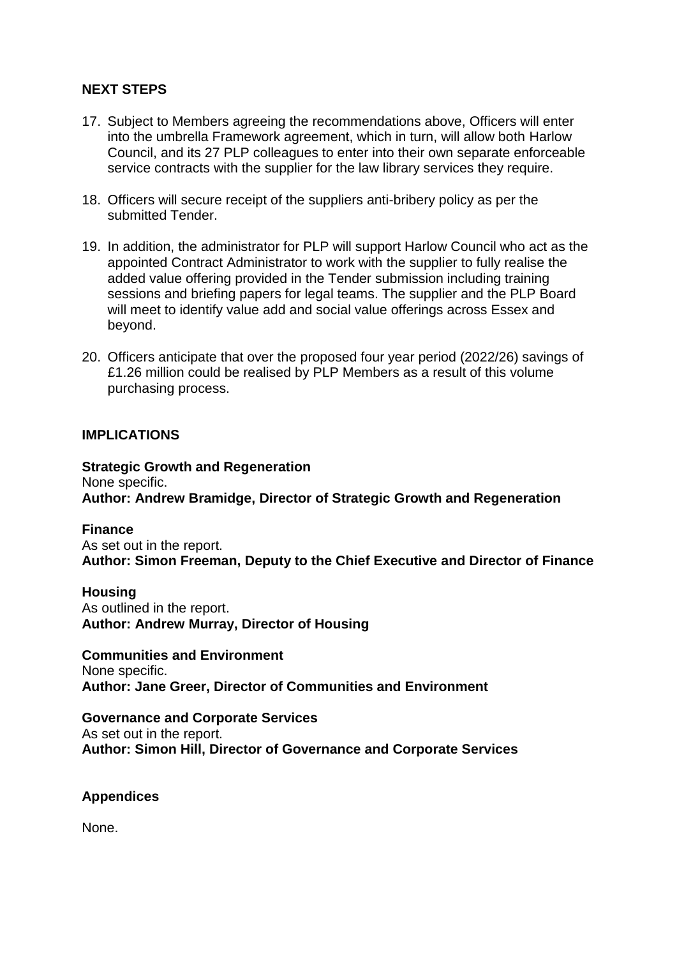### **NEXT STEPS**

- 17. Subject to Members agreeing the recommendations above, Officers will enter into the umbrella Framework agreement, which in turn, will allow both Harlow Council, and its 27 PLP colleagues to enter into their own separate enforceable service contracts with the supplier for the law library services they require.
- 18. Officers will secure receipt of the suppliers anti-bribery policy as per the submitted Tender.
- 19. In addition, the administrator for PLP will support Harlow Council who act as the appointed Contract Administrator to work with the supplier to fully realise the added value offering provided in the Tender submission including training sessions and briefing papers for legal teams. The supplier and the PLP Board will meet to identify value add and social value offerings across Essex and beyond.
- 20. Officers anticipate that over the proposed four year period (2022/26) savings of £1.26 million could be realised by PLP Members as a result of this volume purchasing process.

### **IMPLICATIONS**

**Strategic Growth and Regeneration** None specific. **Author: Andrew Bramidge, Director of Strategic Growth and Regeneration**

#### **Finance**

As set out in the report. **Author: Simon Freeman, Deputy to the Chief Executive and Director of Finance**

#### **Housing**

As outlined in the report. **Author: Andrew Murray, Director of Housing**

#### **Communities and Environment**

None specific. **Author: Jane Greer, Director of Communities and Environment**

**Governance and Corporate Services** As set out in the report. **Author: Simon Hill, Director of Governance and Corporate Services**

#### **Appendices**

None.